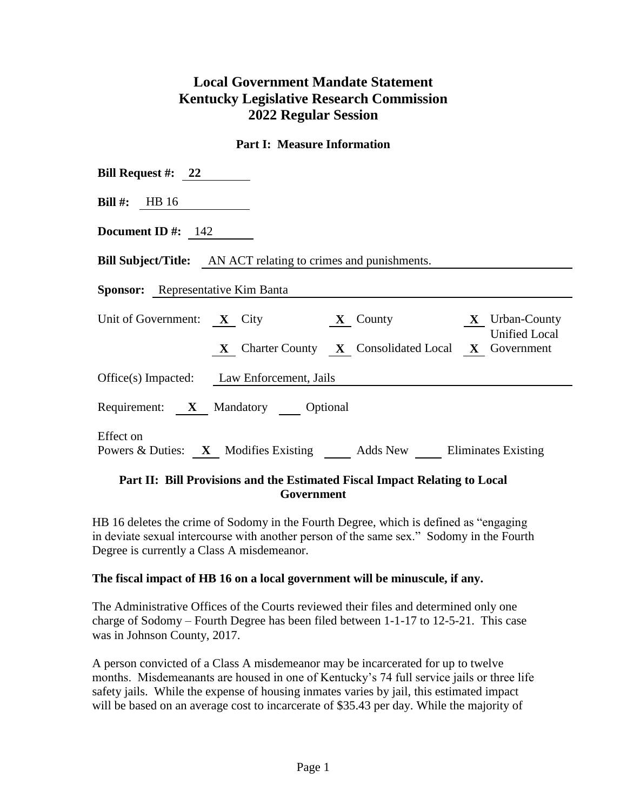# **Local Government Mandate Statement Kentucky Legislative Research Commission 2022 Regular Session**

### **Part I: Measure Information**

| Bill Request #: $22$                                                           |
|--------------------------------------------------------------------------------|
| <b>Bill #:</b> HB $16$                                                         |
| Document ID $\#$ : 142                                                         |
| <b>Bill Subject/Title:</b> AN ACT relating to crimes and punishments.          |
| <b>Sponsor:</b> Representative Kim Banta                                       |
| Unit of Government: X City X County X Vrban-County<br><b>Unified Local</b>     |
| X Charter County X Consolidated Local X Government                             |
| Office(s) Impacted: Law Enforcement, Jails                                     |
| Requirement: X Mandatory Optional                                              |
| Effect on<br>Powers & Duties: X Modifies Existing Adds New Eliminates Existing |

### **Part II: Bill Provisions and the Estimated Fiscal Impact Relating to Local Government**

HB 16 deletes the crime of Sodomy in the Fourth Degree, which is defined as "engaging in deviate sexual intercourse with another person of the same sex." Sodomy in the Fourth Degree is currently a Class A misdemeanor.

#### **The fiscal impact of HB 16 on a local government will be minuscule, if any.**

The Administrative Offices of the Courts reviewed their files and determined only one charge of Sodomy – Fourth Degree has been filed between 1-1-17 to 12-5-21. This case was in Johnson County, 2017.

A person convicted of a Class A misdemeanor may be incarcerated for up to twelve months. Misdemeanants are housed in one of Kentucky's 74 full service jails or three life safety jails. While the expense of housing inmates varies by jail, this estimated impact will be based on an average cost to incarcerate of \$35.43 per day. While the majority of